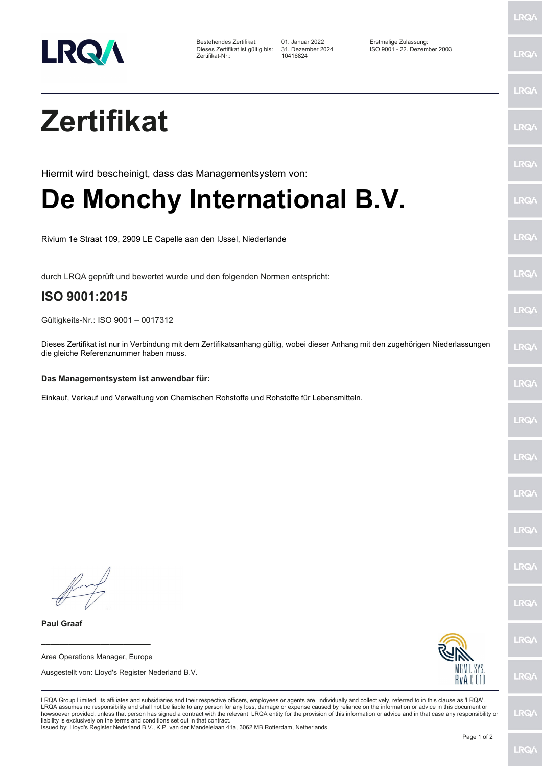

Bestehendes Zertifikat: 01. Januar 2022 Erstmalige Zulassung: Zertifikat-Nr.: 10416824

Dieses Zertifikat ist gültig bis: 31. Dezember 2024 ISO 9001 - 22. Dezember 2003

**LRQ/\** 

|                                                                                                                                                                                                                                                                                                                                                                                                                                                                                                                                                                                                                                                                                                                                                 | <b>LRQA</b>  |
|-------------------------------------------------------------------------------------------------------------------------------------------------------------------------------------------------------------------------------------------------------------------------------------------------------------------------------------------------------------------------------------------------------------------------------------------------------------------------------------------------------------------------------------------------------------------------------------------------------------------------------------------------------------------------------------------------------------------------------------------------|--------------|
| <b>Zertifikat</b>                                                                                                                                                                                                                                                                                                                                                                                                                                                                                                                                                                                                                                                                                                                               | <b>LRQ/\</b> |
| Hiermit wird bescheinigt, dass das Managementsystem von:                                                                                                                                                                                                                                                                                                                                                                                                                                                                                                                                                                                                                                                                                        | <b>LRQA</b>  |
| De Monchy International B.V.                                                                                                                                                                                                                                                                                                                                                                                                                                                                                                                                                                                                                                                                                                                    | <b>LRQA</b>  |
| Rivium 1e Straat 109, 2909 LE Capelle aan den IJssel, Niederlande                                                                                                                                                                                                                                                                                                                                                                                                                                                                                                                                                                                                                                                                               | <b>LRQA</b>  |
| durch LRQA geprüft und bewertet wurde und den folgenden Normen entspricht:<br>ISO 9001:2015                                                                                                                                                                                                                                                                                                                                                                                                                                                                                                                                                                                                                                                     | <b>LRQA</b>  |
|                                                                                                                                                                                                                                                                                                                                                                                                                                                                                                                                                                                                                                                                                                                                                 | <b>LRQA</b>  |
| Gültigkeits-Nr.: ISO 9001 - 0017312<br>Dieses Zertifikat ist nur in Verbindung mit dem Zertifikatsanhang gültig, wobei dieser Anhang mit den zugehörigen Niederlassungen<br>die gleiche Referenznummer haben muss.                                                                                                                                                                                                                                                                                                                                                                                                                                                                                                                              | <b>LRQ/</b>  |
| Das Managementsystem ist anwendbar für:                                                                                                                                                                                                                                                                                                                                                                                                                                                                                                                                                                                                                                                                                                         | <b>LRQ/\</b> |
| Einkauf, Verkauf und Verwaltung von Chemischen Rohstoffe und Rohstoffe für Lebensmitteln.                                                                                                                                                                                                                                                                                                                                                                                                                                                                                                                                                                                                                                                       |              |
|                                                                                                                                                                                                                                                                                                                                                                                                                                                                                                                                                                                                                                                                                                                                                 | <b>LRQ/</b>  |
|                                                                                                                                                                                                                                                                                                                                                                                                                                                                                                                                                                                                                                                                                                                                                 | <b>LRQA</b>  |
|                                                                                                                                                                                                                                                                                                                                                                                                                                                                                                                                                                                                                                                                                                                                                 | <b>LRQ/\</b> |
|                                                                                                                                                                                                                                                                                                                                                                                                                                                                                                                                                                                                                                                                                                                                                 | <b>LRQA</b>  |
|                                                                                                                                                                                                                                                                                                                                                                                                                                                                                                                                                                                                                                                                                                                                                 | <b>LRQA</b>  |
|                                                                                                                                                                                                                                                                                                                                                                                                                                                                                                                                                                                                                                                                                                                                                 | <b>LRQ/\</b> |
| <b>Paul Graaf</b>                                                                                                                                                                                                                                                                                                                                                                                                                                                                                                                                                                                                                                                                                                                               | <b>LRQ/</b>  |
| Area Operations Manager, Europe                                                                                                                                                                                                                                                                                                                                                                                                                                                                                                                                                                                                                                                                                                                 |              |
| MGMT. SYS.<br>Ausgestellt von: Lloyd's Register Nederland B.V.<br>RvAC010                                                                                                                                                                                                                                                                                                                                                                                                                                                                                                                                                                                                                                                                       | <b>LRQ/</b>  |
| LRQA Group Limited, its affiliates and subsidiaries and their respective officers, employees or agents are, individually and collectively, referred to in this clause as 'LRQA'.<br>LRQA assumes no responsibility and shall not be liable to any person for any loss, damage or expense caused by reliance on the information or advice in this document or<br>howsoever provided, unless that person has signed a contract with the relevant LRQA entity for the provision of this information or advice and in that case any responsibility or<br>liability is exclusively on the terms and conditions set out in that contract.<br>Issued by: Lloyd's Register Nederland B.V., K.P. van der Mandelelaan 41a, 3062 MB Rotterdam, Netherlands | <b>LRQA</b>  |
|                                                                                                                                                                                                                                                                                                                                                                                                                                                                                                                                                                                                                                                                                                                                                 |              |